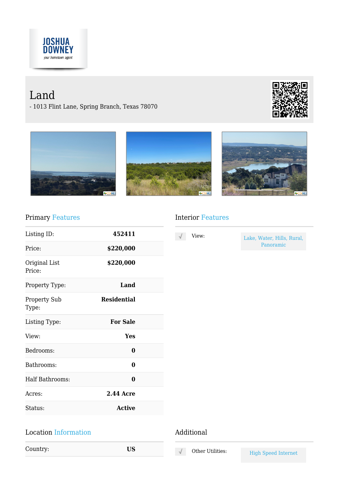

# Land

- 1013 Flint Lane, Spring Branch, Texas 78070









### Primary Features

| Listing ID:                  | 452411             |  |
|------------------------------|--------------------|--|
| Price:                       | \$220,000          |  |
| Original List<br>Price:      | \$220,000          |  |
| Property Type:               | Land               |  |
| <b>Property Sub</b><br>Type: | <b>Residential</b> |  |
| Listing Type:                | <b>For Sale</b>    |  |
| View:                        | Yes                |  |
| Bedrooms:                    | 0                  |  |
| Bathrooms:                   | 0                  |  |
| Half Bathrooms:              | 0                  |  |
| Acres:                       | <b>2.44 Acre</b>   |  |
| Status:                      | <b>Active</b>      |  |
|                              |                    |  |

#### Location Information

Country: **US**

#### Interior Features

| View: |  |
|-------|--|
|       |  |
|       |  |

Lake, Water, Hills, Rural, Panoramic

#### Additional

 $\sqrt{ }$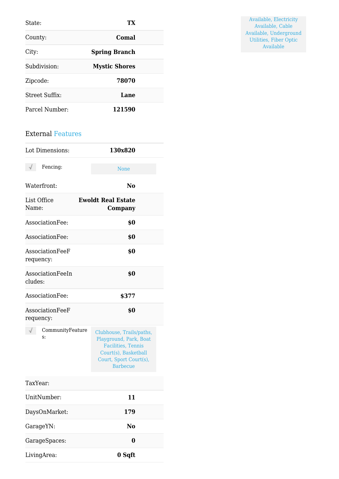| State:                | TХ                   |
|-----------------------|----------------------|
| County:               | Comal                |
| City:                 | <b>Spring Branch</b> |
| Subdivision:          | <b>Mystic Shores</b> |
| Zipcode:              | 78070                |
| <b>Street Suffix:</b> | Lane                 |
| Parcel Number:        | 121590               |

#### External Features

| Lot Dimensions:              | 130x820                                                                                                                                               |  |
|------------------------------|-------------------------------------------------------------------------------------------------------------------------------------------------------|--|
| Fencing:<br>√                | None                                                                                                                                                  |  |
| Waterfront:                  | No                                                                                                                                                    |  |
| List Office<br>Name:         | <b>Ewoldt Real Estate</b><br>Company                                                                                                                  |  |
| AssociationFee:              | \$0                                                                                                                                                   |  |
| AssociationFee:              | \$0                                                                                                                                                   |  |
| AssociationFeeF<br>requency: | \$0                                                                                                                                                   |  |
| AssociationFeeIn<br>cludes:  | \$0                                                                                                                                                   |  |
| AssociationFee:              | \$377                                                                                                                                                 |  |
| AssociationFeeF<br>requency: | \$0                                                                                                                                                   |  |
| CommunityFeature<br>S:       | Clubhouse, Trails/paths,<br>Playground, Park, Boat<br><b>Facilities</b> , Tennis<br>Court(s), Basketball<br>Court, Sport Court(s),<br><b>Barbecue</b> |  |
| TaxYear:                     |                                                                                                                                                       |  |
| UnitNumber:                  | 11                                                                                                                                                    |  |
| DaysOnMarket:                | 179                                                                                                                                                   |  |
| GarageYN:                    | N <sub>0</sub>                                                                                                                                        |  |
| GarageSpaces:                | $\bf{0}$                                                                                                                                              |  |
| LivingArea:                  | 0 Sqft                                                                                                                                                |  |

Available, Electricity Available, Cable Available, Underground Utilities, Fiber Optic Available